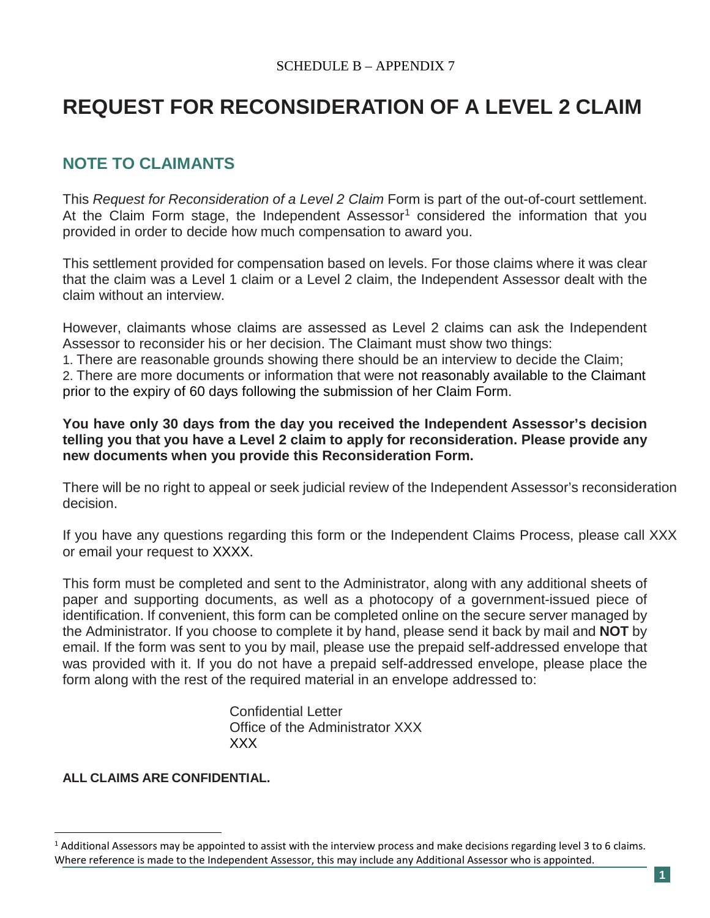# **REQUEST FOR RECONSIDERATION OF A LEVEL 2 CLAIM**

## **NOTE TO CLAIMANTS**

This *Request for Reconsideration of a Level 2 Claim* Form is part of the out-of-court settlement. At the Claim Form stage, the Independent Assessor<sup>[1](#page-0-0)</sup> considered the information that you provided in order to decide how much compensation to award you.

This settlement provided for compensation based on levels. For those claims where it was clear that the claim was a Level 1 claim or a Level 2 claim, the Independent Assessor dealt with the claim without an interview.

However, claimants whose claims are assessed as Level 2 claims can ask the Independent Assessor to reconsider his or her decision. The Claimant must show two things:

1. There are reasonable grounds showing there should be an interview to decide the Claim; 2. There are more documents or information that were not reasonably available to the Claimant prior to the expiry of 60 days following the submission of her Claim Form.

#### **You have only 30 days from the day you received the Independent Assessor's decision telling you that you have a Level 2 claim to apply for reconsideration. Please provide any new documents when you provide this Reconsideration Form.**

There will be no right to appeal or seek judicial review of the Independent Assessor's reconsideration decision.

If you have any questions regarding this form or the Independent Claims Process, please call XXX or email your request to XXXX.

This form must be completed and sent to the Administrator, along with any additional sheets of paper and supporting documents, as well as a photocopy of a government-issued piece of identification. If convenient, this form can be completed online on the secure server managed by the Administrator. If you choose to complete it by hand, please send it back by mail and **NOT** by email. If the form was sent to you by mail, please use the prepaid self-addressed envelope that was provided with it. If you do not have a prepaid self-addressed envelope, please place the form along with the rest of the required material in an envelope addressed to:

> Confidential Letter Office of the Administrator XXX XXX

### **ALL CLAIMS ARE CONFIDENTIAL.**

<span id="page-0-0"></span><sup>&</sup>lt;sup>1</sup> Additional Assessors may be appointed to assist with the interview process and make decisions regarding level 3 to 6 claims. Where reference is made to the Independent Assessor, this may include any Additional Assessor who is appointed.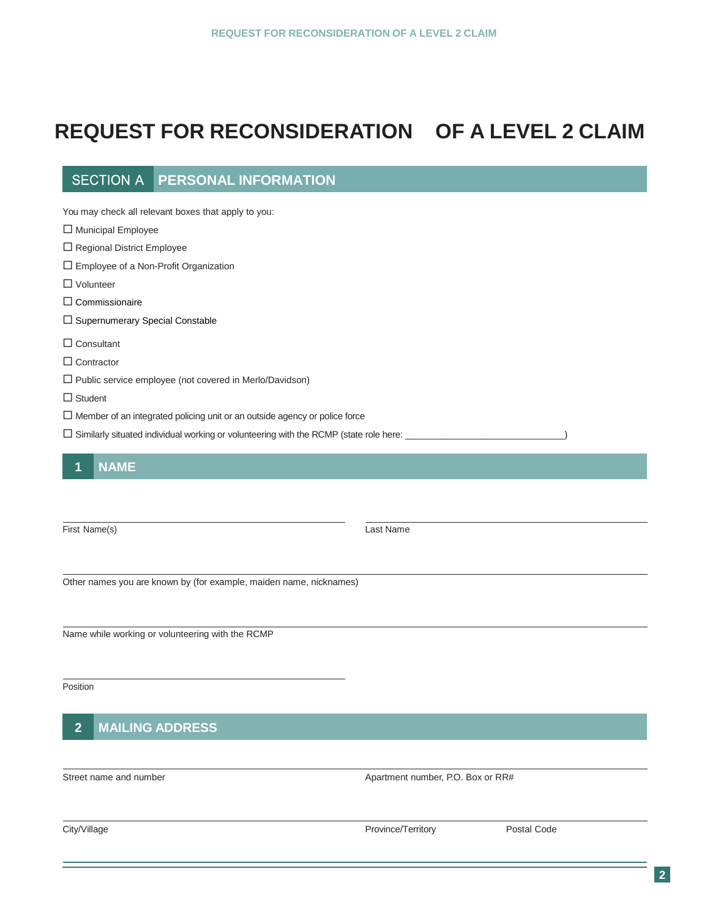# **REQUEST FOR RECONSIDERATION OF A LEVEL 2 CLAIM**

**PERSONAL INFORMATION** 

| You may check all relevant boxes that apply to you:                                               |                                   |
|---------------------------------------------------------------------------------------------------|-----------------------------------|
| □ Municipal Employee                                                                              |                                   |
| □ Regional District Employee                                                                      |                                   |
| □ Employee of a Non-Profit Organization                                                           |                                   |
| $\Box$ Volunteer                                                                                  |                                   |
| $\Box$ Commissionaire                                                                             |                                   |
| □ Supernumerary Special Constable                                                                 |                                   |
| $\Box$ Consultant                                                                                 |                                   |
| $\Box$ Contractor                                                                                 |                                   |
| □ Public service employee (not covered in Merlo/Davidson)                                         |                                   |
| $\Box$ Student                                                                                    |                                   |
| $\Box$ Member of an integrated policing unit or an outside agency or police force                 |                                   |
| $\Box$ Similarly situated individual working or volunteering with the RCMP (state role here: $\_$ |                                   |
| <b>NAME</b><br>1                                                                                  |                                   |
| First Name(s)                                                                                     | Last Name                         |
| Other names you are known by (for example, maiden name, nicknames)                                |                                   |
| Name while working or volunteering with the RCMP                                                  |                                   |
| Position                                                                                          |                                   |
| <b>MAILING ADDRESS</b><br>$\overline{2}$                                                          |                                   |
| Street name and number                                                                            | Apartment number, P.O. Box or RR# |

City/Village **Province/Territory** Postal Code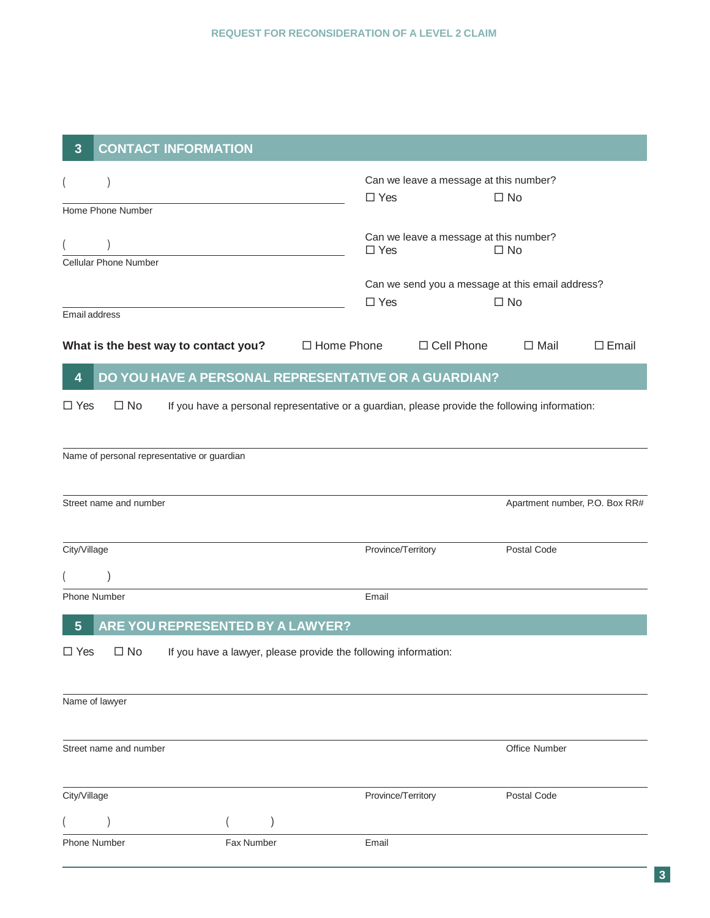| $\overline{\mathbf{3}}$                                                                       |                                                                                                                              | <b>CONTACT INFORMATION</b>                             |  |                    |                                                  |                                |                 |  |  |
|-----------------------------------------------------------------------------------------------|------------------------------------------------------------------------------------------------------------------------------|--------------------------------------------------------|--|--------------------|--------------------------------------------------|--------------------------------|-----------------|--|--|
|                                                                                               | Home Phone Number                                                                                                            |                                                        |  | $\Box$ Yes         | Can we leave a message at this number?           | $\square$ No                   |                 |  |  |
|                                                                                               | <b>Cellular Phone Number</b>                                                                                                 |                                                        |  | $\square$ Yes      | Can we leave a message at this number?           | $\Box$ No                      |                 |  |  |
| Email address                                                                                 |                                                                                                                              |                                                        |  | $\Box$ Yes         | Can we send you a message at this email address? | $\square$ No                   |                 |  |  |
|                                                                                               |                                                                                                                              | What is the best way to contact you? $\Box$ Home Phone |  |                    | □ Cell Phone                                     | $\Box$ Mail                    | $\square$ Email |  |  |
| DO YOU HAVE A PERSONAL REPRESENTATIVE OR A GUARDIAN?<br>$\overline{\mathbf{4}}$               |                                                                                                                              |                                                        |  |                    |                                                  |                                |                 |  |  |
|                                                                                               | $\square$ No<br>$\Box$ Yes<br>If you have a personal representative or a guardian, please provide the following information: |                                                        |  |                    |                                                  |                                |                 |  |  |
|                                                                                               |                                                                                                                              | Name of personal representative or guardian            |  |                    |                                                  |                                |                 |  |  |
|                                                                                               |                                                                                                                              |                                                        |  |                    |                                                  |                                |                 |  |  |
|                                                                                               | Street name and number                                                                                                       |                                                        |  |                    |                                                  | Apartment number, P.O. Box RR# |                 |  |  |
| City/Village                                                                                  |                                                                                                                              |                                                        |  | Province/Territory |                                                  | Postal Code                    |                 |  |  |
|                                                                                               |                                                                                                                              |                                                        |  |                    |                                                  |                                |                 |  |  |
|                                                                                               | <b>Phone Number</b>                                                                                                          |                                                        |  | Email              |                                                  |                                |                 |  |  |
| $5\phantom{1}$                                                                                |                                                                                                                              | ARE YOU REPRESENTED BY A LAWYER?                       |  |                    |                                                  |                                |                 |  |  |
| $\Box$ Yes<br>$\square$ No<br>If you have a lawyer, please provide the following information: |                                                                                                                              |                                                        |  |                    |                                                  |                                |                 |  |  |
|                                                                                               | Name of lawyer                                                                                                               |                                                        |  |                    |                                                  |                                |                 |  |  |
|                                                                                               | Street name and number                                                                                                       |                                                        |  |                    |                                                  | Office Number                  |                 |  |  |
| City/Village                                                                                  |                                                                                                                              |                                                        |  | Province/Territory |                                                  | Postal Code                    |                 |  |  |
|                                                                                               |                                                                                                                              |                                                        |  |                    |                                                  |                                |                 |  |  |
|                                                                                               | <b>Phone Number</b>                                                                                                          | Fax Number                                             |  | Email              |                                                  |                                |                 |  |  |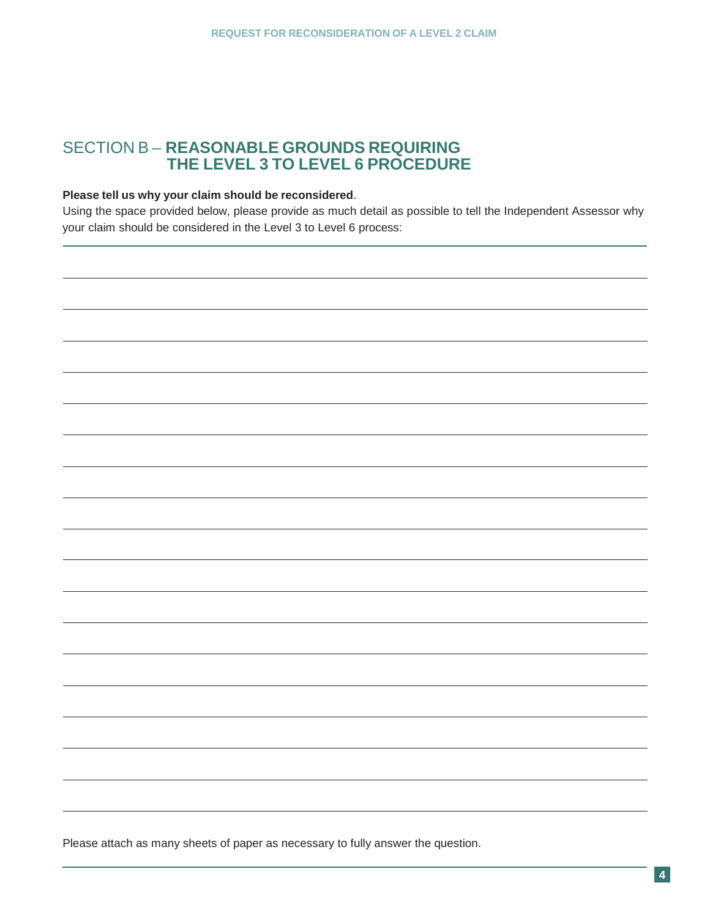### SECTION B – **REASONABLE GROUNDS REQUIRING THE LEVEL 3 TO LEVEL 6 PROCEDURE**

#### **Please tell us why your claim should be reconsidered**.

Using the space provided below, please provide as much detail as possible to tell the Independent Assessor why your claim should be considered in the Level 3 to Level 6 process:

Please attach as many sheets of paper as necessary to fully answer the question.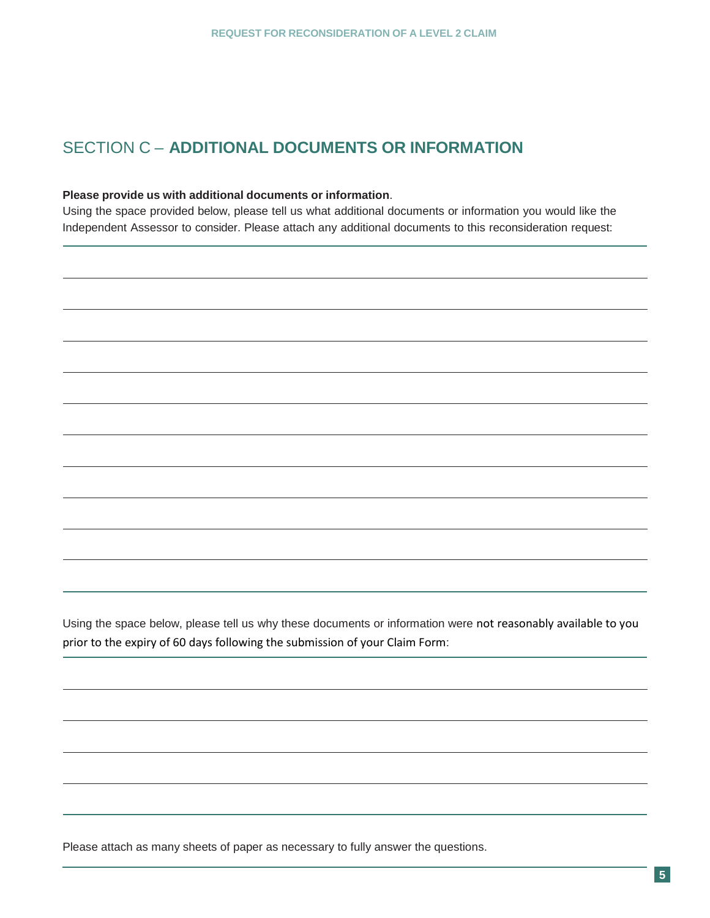# SECTION C – **ADDITIONAL DOCUMENTS OR INFORMATION**

#### **Please provide us with additional documents or information**.

Using the space provided below, please tell us what additional documents or information you would like the Independent Assessor to consider. Please attach any additional documents to this reconsideration request:

Using the space below, please tell us why these documents or information were not reasonably available to you prior to the expiry of 60 days following the submission of your Claim Form:

Please attach as many sheets of paper as necessary to fully answer the questions.